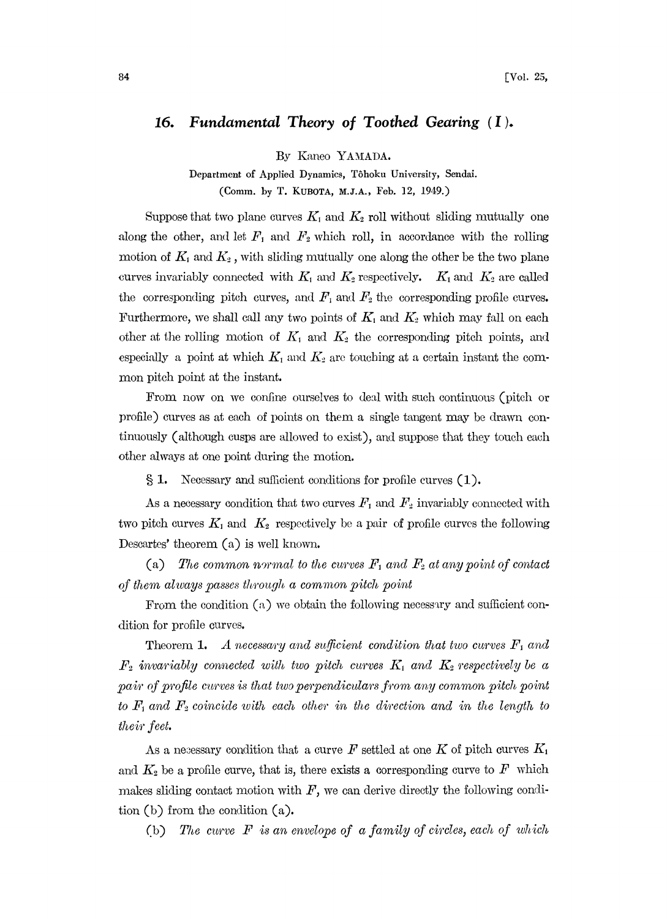## Fundamental Theory of Toothed Gearing  $(I)$ . 16.

By Kaneo YAMADA.

Department of Applied Dynamics, Tôhoku University, Sendai. (Comm. by T. KUBOTA, M.J.A., Feb. 12, 1949.)

Suppose that two plane curves  $K_1$  and  $K_2$  roll without sliding mutually one along the other, and let  $F_1$  and  $F_2$  which roll, in accordance with the rolling motion of  $K_1$  and  $K_2$ , with sliding mutually one along the other be the two plane curves invariably connected with  $K_1$  and  $K_2$  respectively.  $K_1$  and  $K_2$  are called the corresponding pitch curves, and  $F_1$  and  $F_2$  the corresponding profile curves. Furthermore, we shall call any two points of  $K_1$  and  $K_2$  which may fall on each other at the rolling motion of  $K_1$  and  $K_2$  the corresponding pitch points, and especially a point at which  $K_1$  and  $K_2$  are touching at a certain instant the common pitch point at the instant.

From now on we confine ourselves to deal with such continuous (pitch or profile) curves as at each of points on them a single tangent may be drawn continuously (although cusps are allowed to exist), and suppose that they touch each other always at one point during the motion.

 $\S 1.$  Necessary and sufficient conditions for profile curves  $(1).$ 

As a necessary condition that two curves  $F_1$  and  $F_2$  invariably connected with two pitch curves  $K_1$  and  $K_2$  respectively be a pair of profile curves the following Descartes' theorem  $(a)$  is well known.

(a) The common normal to the curves  $F_1$  and  $F_2$  at any point of contact of them always passes through a common pitch point

From the condition (a) we obtain the following necessary and sufficient condition for profile curves.

**Theorem 1.** A necessary and sufficient condition that two curves  $F_1$  and  $F_2$  invariably connected with two pitch curves  $K_1$  and  $K_2$  respectively be a pair of profile curves is that two perpendiculars from any common pitch point to  $F_1$  and  $F_2$  coincide with each other in the direction and in the length to their feet.

As a necessary condition that a curve F settled at one K of pitch curves  $K_1$ and  $K_2$  be a profile curve, that is, there exists a corresponding curve to F which makes sliding contact motion with  $F$ , we can derive directly the following condition  $(b)$  from the condition  $(a)$ .

The curve  $F$  is an envelope of a family of circles, each of which  $(b)$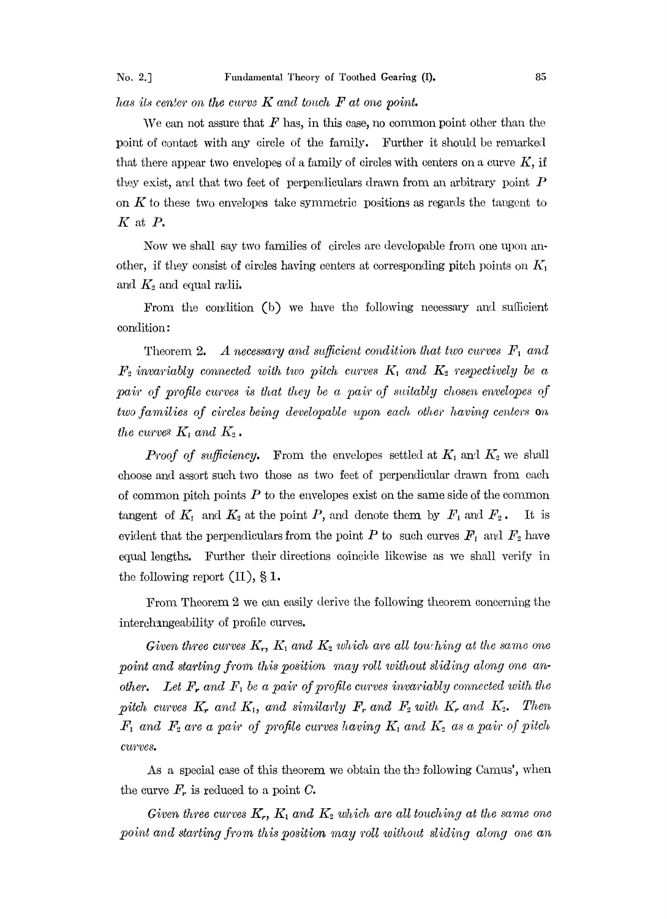has its center on the curve  $K$  and touch  $F$  at one point.

We can not assure that  $F$  has, in this case, no common point other than the point of contact with any circle of the family. Further it should be remarked that there appear two envelopes of a family of circles with centers on a curve  $K$ , if they exist, and that two feet of perpendiculars drawn from an arbitrary point  $P$ on  $K$  to these two envelopes take symmetric positions as regards the tangent to  $K$  at  $P$ .

Now we shall say two families of circles are developable from one upon another, if they consist of circles having centers at corresponding pitch points on  $K_1$ and  $K_2$  and equal radii.

From the condition (b) we have the following necessary and sufficient condition:

Theorem 2. A necessary and sufficient condition that two curves  $F_1$  and  $F_2$  invariably connected with two pitch curves  $K_1$  and  $K_2$  respectively be a pair of profile curves is that they be a pair of suitably chosen envelopes of two families of circles being developable upon each other having centers on the curves  $K_1$  and  $K_2$ .

**Proof of sufficiency.** From the envelopes settled at  $K_1$  and  $K_2$  we shall choose and assort such two those as two feet of perpendicular drawn from each of common pitch points  $P$  to the envelopes exist on the same side of the common tangent of  $K_1$  and  $K_2$  at the point P, and denote them by  $F_1$  and  $F_2$ . It is evident that the perpendiculars from the point P to such curves  $F_1$  and  $F_2$  have equal lengths. Further their directions coincide likewise as we shall verify in the following report  $(II), § 1$ .

From Theorem 2 we can easily derive the following theorem concerning the interchangeability of profile curves.

Given three curves  $K_r$ ,  $K_1$  and  $K_2$  which are all touching at the same one point and starting from this position may roll without sliding along one another. Let  $F_r$  and  $F_1$  be a pair of profile curves invariably connected with the pitch curves  $K_r$  and  $K_1$ , and similarly  $F_r$  and  $F_2$  with  $K_r$  and  $K_2$ . Then  $F_1$  and  $F_2$  are a pair of profile curves having  $K_1$  and  $K_2$  as a pair of pitch curves.

As a special case of this theorem we obtain the the following Camus', when the curve  $F_r$ , is reduced to a point C.

Given three curves  $K_r$ ,  $K_1$  and  $K_2$  which are all touching at the same one point and starting from this position may roll without sliding along one an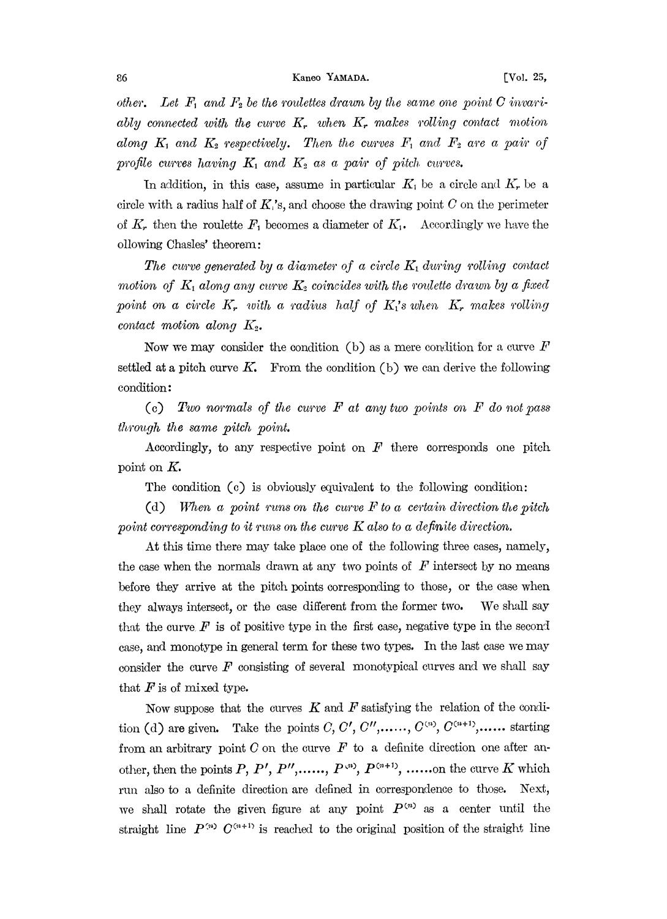other. Let  $F_1$  and  $F_2$  be the roulettes drawn by the same one point C invariably connected with the curve  $K_r$  when  $K_r$  makes rolling contact motion along  $K_1$  and  $K_2$  respectively. Then the curves  $F_1$  and  $F_2$  are a pair of profile curves having  $K_1$  and  $K_2$  as a pair of pitch curves.

In addition, in this case, assume in particular  $K_1$  be a circle and  $K_r$  be a circle with a radius half of  $K_i$ 's, and choose the drawing point C on the perimeter of  $K_r$ , then the roulette  $F_1$  becomes a diameter of  $K_1$ . Accordingly we have the ollowing Chasles' theorem:

The curve generated by a diameter of a circle  $K_1$  during rolling contact motion of  $K_1$  along any curve  $K_2$  coincides with the roulette drawn by a fixed point on a circle  $K_r$  with a radius half of  $K_i$ 's when  $K_r$  makes rolling contact motion along  $K<sub>2</sub>$ .

Now we may consider the condition (b) as a mere condition for a curve  $F$ settled at a pitch curve  $K$ . From the condition (b) we can derive the following condition:

(c) Two normals of the curve  $F$  at any two points on  $F$  do not pass through the same pitch point.

Accordingly, to any respective point on  $F$  there corresponds one pitch point on  $K$ .

The condition  $(c)$  is obviously equivalent to the following condition:

(d) When a point runs on the curve F to a certain direction the pitch point corresponding to it runs on the curve K also to a definite direction.

At this time there may take place one of the following three cases, namely, the case when the normals drawn at any two points of  $F$  intersect by no means before they arrive at the pitch points corresponding to those, or the case when they always intersect, or the case different from the former two. We shall say that the curve  $\vec{F}$  is of positive type in the first case, negative type in the second case, and monotype in general term for these two types. In the last case we may consider the curve  $F$  consisting of several monotypical curves and we shall say that  $F$  is of mixed type.

Now suppose that the curves  $K$  and  $F$  satisfying the relation of the condition (d) are given. Take the points C, C', C'',......,  $C^{(n)}$ ,  $C^{(n+1)}$ ,...... starting from an arbitrary point  $C$  on the curve  $F$  to a definite direction one after another, then the points  $P, P', P'', \ldots, P^{(n)}, P^{(n+1)}, \ldots \ldots$  the curve K which run also to a definite direction are defined in correspondence to those. Next, we shall rotate the given figure at any point  $P^{(n)}$  as a center until the straight line  $P^{(n)}$   $C^{(n+1)}$  is reached to the original position of the straight line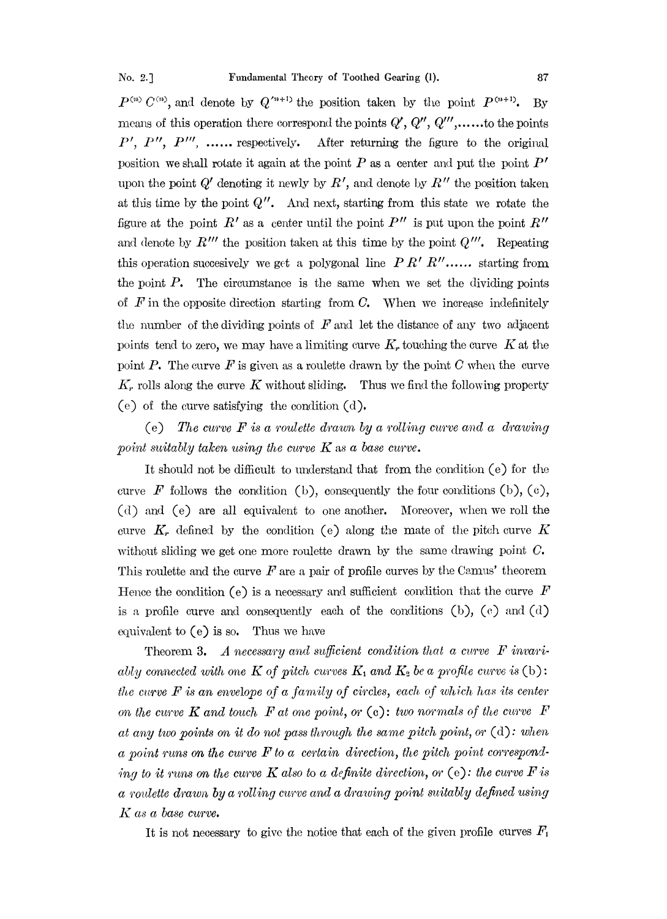$P^{(n)}$  C<sup>(n)</sup>, and denote by  $Q^{(n+1)}$  the position taken by the point  $P^{(n+1)}$ . By means of this operation there correspond the points  $Q', Q'', Q''',$ ......to the points  $P'$ ,  $P''$ ,  $P'''$ , ...... respectively. After returning the figure to the original position we shall rotate it again at the point  $P$  as a center and put the point  $P'$ upon the point  $Q'$  denoting it newly by  $R'$ , and denote by  $R''$  the position taken at this time by the point  $Q''$ . And next, starting from this state we rotate the figure at the point  $R'$  as a center until the point  $P''$  is put upon the point  $R''$ and denote by  $R'''$  the position taken at this time by the point  $Q'''$ . Repeating this operation succesively we get a polygonal line  $P R' R'' \dots$  starting from the point  $P$ . The circumstance is the same when we set the dividing points of  $F$  in the opposite direction starting from C. When we increase indefinitely the number of the dividing points of  $F$  and let the distance of any two adjacent points tend to zero, we may have a limiting curve  $K_r$  touching the curve K at the point P. The curve  $F$  is given as a roulette drawn by the point C when the curve  $K_r$  rolls along the curve K without sliding. Thus we find the following property (e) of the curve satisfying the condition (d).

(e) The curve  $F$  is a roulette drawn by a rolling curve and a drawing point suitably taken using the curve  $K$  as a base curve.

It should not be difficult to understand that from the condition  $(e)$  for the curve F follows the condition (b), consequently the four conditions (b), (c), (d) and (e) are all equivalent to one another. Moreover, when we roll the curve  $K_r$  defined by the condition (e) along the mate of the pitch curve K without sliding we get one more roulette drawn by the same drawing point  $C$ . This roulette and the curve  $F$  are a pair of profile curves by the Camus' theorem Hence the condition (e) is a necessary and sufficient condition that the curve  $\vec{F}$ is a profile curve and consequently each of the conditions (b), (c) and (d) equivalent to  $(e)$  is so. Thus we have

Theorem 3. A necessary and sufficient condition that a curve  $F$  invariably connected with one K of pitch curves  $K_1$  and  $K_2$  be a profile curve is (b): the curve  $F$  is an envelope of a family of circles, each of which has its center on the curve  $K$  and touch  $F$  at one point, or (c): two normals of the curve  $F$ at any two points on it do not pass through the same pitch point, or  $(d)$ : when a point runs on the curve  $F$  to a certain direction, the pitch point corresponding to it runs on the curve K also to a definite direction, or (e): the curve F is  $a$  roulette drawn by a rolling curve and a drawing point suitably defined using  $K$  as a base curve.

It is not necessary to give the notice that each of the given profile curves  $F_1$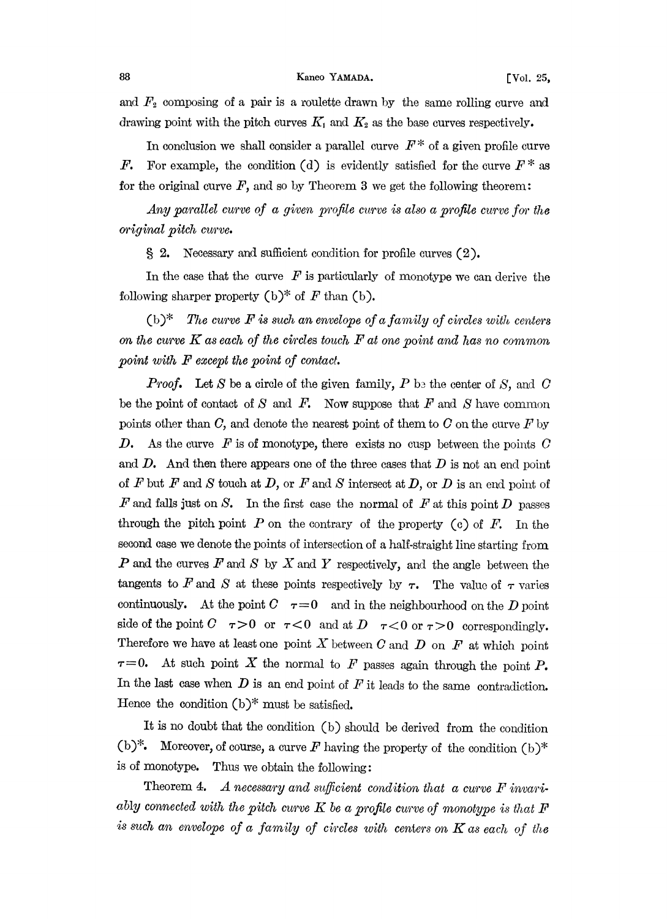and  $F_2$  composing of a pair is a roulette drawn by the same rolling curve and drawing point with the pitch curves  $K_1$  and  $K_2$  as the base curves respectively.

In conclusion we shall consider a parallel curve  $F^*$  of a given profile curve F. For example, the condition (d) is evidently satisfied for the curve  $F^*$  as for the original curve  $F$ , and so by Theorem 3 we get the following theorem:

Any parallel curve of a given profile curve is also a profile curve for the original pitch curve.

2. Necessary and sufficient condition for profile curves (2).

In the case that the curve  $\hat{F}$  is particularly of monotype we can derive the following sharper property  $(b)^*$  of F than  $(b)$ .

(b)<sup>\*</sup> The curve  $F$  is such an envelope of a family of circles with centers on the curve  $K$  as each of the circles touch  $F$  at one point and has no common point with  $F$  except the point of contact.

**Proof.** Let S be a circle of the given family, P be the center of S, and C be the point of contact of S and F. Now suppose that F and S have common points other than C, and denote the nearest point of them to C on the curve  $F$  by D. As the curve  $F$  is of monotype, there exists no cusp between the points  $C$ and  $D$ . And then there appears one of the three cases that  $D$  is not an end point of  $F$  but  $F$  and  $S$  touch at  $D$ , or  $F$  and  $S$  intersect at  $D$ , or  $D$  is an end point of F and falls just on S. In the first case the normal of F at this point D passes<br>through the pitch point P on the contrary of the property  $\left(\alpha\right)$  of  $F$  . In the through the pitch point  $P$  on the contrary of the property (c) of  $F$ . In the second case we denote the points of intersection of a half-straight line starting from  $P$  and the curves  $F$  and  $S$  by  $X$  and  $Y$  respectively, and the angle between the tangents to F and S at these points respectively by  $\tau$ . The value of  $\tau$  varies<br>continuously  $A^*$  the point  $C = \tau Q$  and in the pointly due the  $D$ continuously. At the point  $C \tau = 0$  and in the neighbourhood on the D point side of the point  $C$   $\tau > 0$  or  $\tau < 0$  and at  $D$   $\tau < 0$  or  $\tau > 0$  correspondingly.<br>Therefore we have at least one point X between C and D on F at which point Therefore we have at least one point X between C and D on F at which point  $\tau=0$ . At such point X the normal to F passes again through the point P. In the last case when  $D$  is an end point of  $F$  it leads to the same contradiction. Hence the condition  $(b)^*$  must be satisfied.

It is no doubt that the condition (b) should be derived from the condition (b)<sup>\*</sup>• Moreover, of course, a curve  $F$  having the property of the condition (b)<sup>\*</sup><br>is of monotyne. Thus we obtain the following: is of monotype. Thus we obtain the following:

Theorem 4. A necessary and sufficient condition that a curve  $F$  invariably connected with the pitch curve K be a profile curve of monotype is that  $F$ is such an envelope of a family of circles with centers on  $K$  as each of the